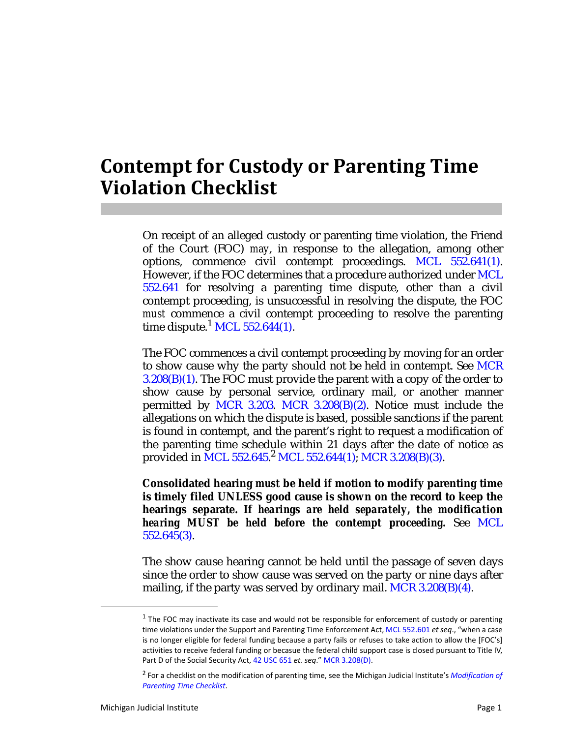## **Contempt for Custody or Parenting Time Violation Checklist**

On receipt of an alleged custody or parenting time violation, the Friend of the Court (FOC) *may*, in response to the allegation, among other options, commence civil contempt proceedings. MCL 552.641(1). However, if the FOC determines that a procedure authorized under MCL 552.641 for resolving a parenting time dispute, other than a civil contempt proceeding, is unsuccessful in resolving the dispute, the FOC *must* commence a civil contempt proceeding to resolve the parenting time dispute.<sup>1</sup> MCL 552.644(1).

The FOC commences a civil contempt proceeding by moving for an order to show cause why the party should not be held in contempt. See MCR  $3.208(B)(1)$ . The FOC must provide the parent with a copy of the order to show cause by personal service, ordinary mail, or another manner permitted by MCR 3.203. MCR 3.208(B)(2). Notice must include the allegations on which the dispute is based, possible sanctions if the parent is found in contempt, and the parent's right to request a modification of the parenting time schedule within 21 days after the date of notice as provided in MCL 552.645. <sup>2</sup> MCL 552.644(1); MCR 3.208(B)(3).

**Consolidated hearing** *must* **be held if motion to modify parenting time is timely filed UNLESS good cause is shown on the record to keep the hearings separate.** *If hearings are held separately, the modification hearing MUST be held before the contempt proceeding.* See MCL 552.645(3).

The show cause hearing cannot be held until the passage of seven days since the order to show cause was served on the party or nine days after mailing, if the party was served by ordinary mail. MCR  $3.208(B)(4)$ .

 $<sup>1</sup>$  The FOC may inactivate its case and would not be responsible for enforcement of custody or parenting</sup> time violations under the Support and Parenting Time Enforcement Act, MCL 552.601 *et seq*., "when a case is no longer eligible for federal funding because a party fails or refuses to take action to allow the [FOC's] activities to receive federal funding or becasue the federal child support case is closed pursuant to Title IV, Part D of the Social Security Act, 42 USC 651 *et. seq*." MCR 3.208(D).

<sup>2</sup> For a checklist on the modification of parenting time, see the Michigan Judicial Institute's *Modification of Parenting Time Checklist*.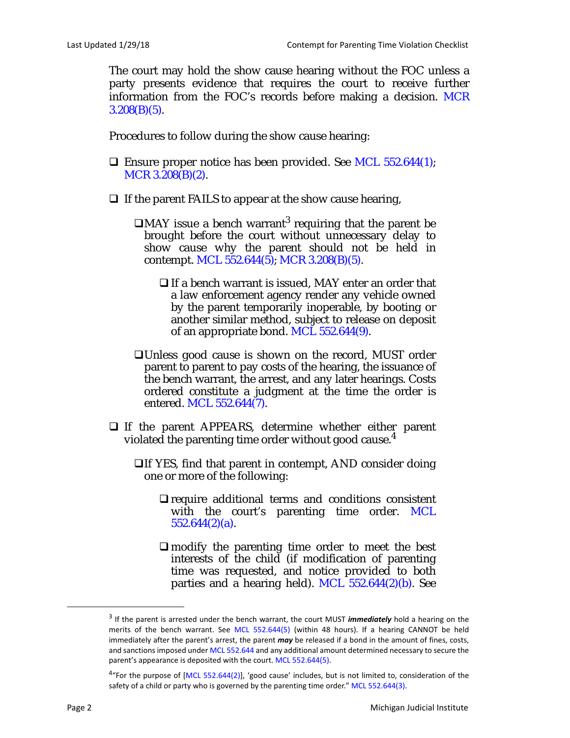The court may hold the show cause hearing without the FOC unless a party presents evidence that requires the court to receive further information from the FOC's records before making a decision. MCR  $3.208(B)(5)$ .

Procedures to follow during the show cause hearing:

- **Ensure proper notice has been provided. See MCL 552.644(1);** MCR 3.208(B)(2).
- $\Box$  If the parent FAILS to appear at the show cause hearing,
	- $\Box$ MAY issue a bench warrant<sup>3</sup> requiring that the parent be brought before the court without unnecessary delay to show cause why the parent should not be held in contempt. MCL 552.644(5); MCR 3.208(B)(5).
		- $\Box$  If a bench warrant is issued, MAY enter an order that a law enforcement agency render any vehicle owned by the parent temporarily inoperable, by booting or another similar method, subject to release on deposit of an appropriate bond. MCL 552.644(9).
	- Unless good cause is shown on the record, MUST order parent to parent to pay costs of the hearing, the issuance of the bench warrant, the arrest, and any later hearings. Costs ordered constitute a judgment at the time the order is entered. MCL 552.644(7).
- If the parent APPEARS, determine whether either parent violated the parenting time order without good cause.<sup>4</sup>
	- $\Box$  If YES, find that parent in contempt, AND consider doing one or more of the following:
		- $\Box$  require additional terms and conditions consistent with the court's parenting time order. MCL 552.644(2)(a).
		- $\Box$  modify the parenting time order to meet the best interests of the child (if modification of parenting time was requested, and notice provided to both parties and a hearing held). MCL  $552.644(2)(b)$ . See

<sup>3</sup> If the parent is arrested under the bench warrant, the court MUST *immediately* hold a hearing on the merits of the bench warrant. See MCL 552.644(5) (within 48 hours). If a hearing CANNOT be held immediately after the parent's arrest, the parent *may* be released if a bond in the amount of fines, costs, and sanctions imposed under MCL 552.644 and any additional amount determined necessary to secure the parent's appearance is deposited with the court. MCL 552.644(5).

 $4\degree$ For the purpose of [MCL 552.644(2)], 'good cause' includes, but is not limited to, consideration of the safety of a child or party who is governed by the parenting time order." MCL 552.644(3).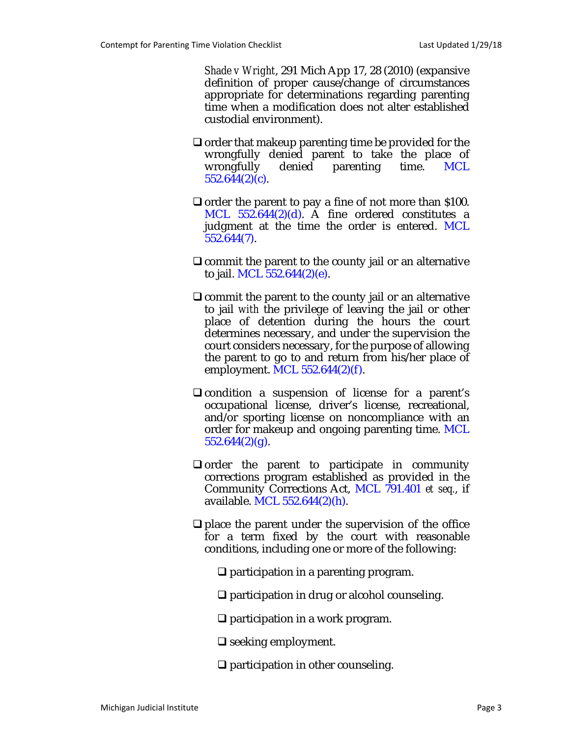*Shade v Wright*, 291 Mich App 17, 28 (2010) (expansive definition of proper cause/change of circumstances appropriate for determinations regarding parenting time when a modification does not alter established custodial environment).

- $\Box$  order that makeup parenting time be provided for the wrongfully denied parent to take the place of wrongfully denied parenting time. MCL 552.644(2)(c).
- $\Box$  order the parent to pay a fine of not more than \$100. MCL 552.644(2)(d). A fine ordered constitutes a judgment at the time the order is entered. MCL 552.644(7).
- $\Box$  commit the parent to the county jail or an alternative to jail. MCL 552.644(2)(e).
- $\Box$  commit the parent to the county jail or an alternative to jail *with* the privilege of leaving the jail or other place of detention during the hours the court determines necessary, and under the supervision the court considers necessary, for the purpose of allowing the parent to go to and return from his/her place of employment. MCL 552.644(2)(f).
- $\Box$  condition a suspension of license for a parent's occupational license, driver's license, recreational, and/or sporting license on noncompliance with an order for makeup and ongoing parenting time. MCL  $552.644(2)(g)$ .
- $\Box$  order the parent to participate in community corrections program established as provided in the Community Corrections Act, MCL 791.401 *et seq.*, if available. MCL 552.644(2)(h).
- $\Box$  place the parent under the supervision of the office for a term fixed by the court with reasonable conditions, including one or more of the following:
	- $\Box$  participation in a parenting program.
	- □ participation in drug or alcohol counseling.
	- □ participation in a work program.
	- $\Box$  seeking employment.
	- $\Box$  participation in other counseling.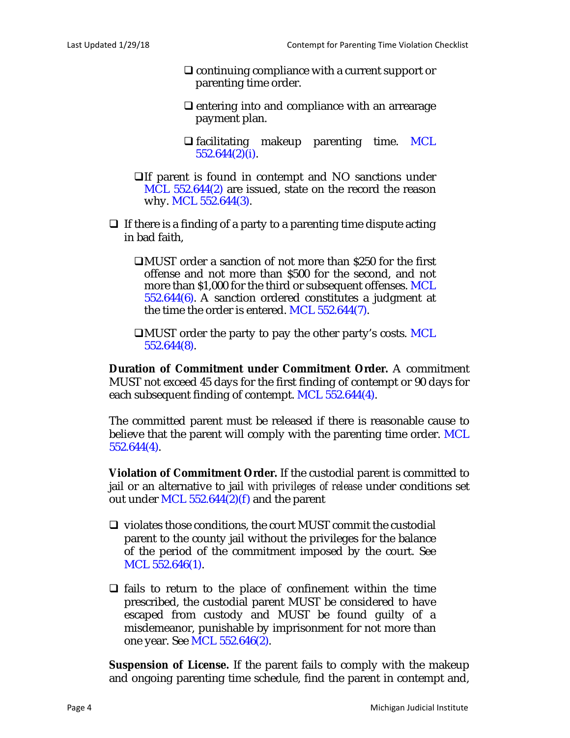- $\Box$  continuing compliance with a current support or parenting time order.
- $\Box$  entering into and compliance with an arrearage payment plan.
- $\Box$  facilitating makeup parenting time. MCL 552.644(2)(i).
- If parent is found in contempt and NO sanctions under MCL 552.644(2) are issued, state on the record the reason why. MCL 552.644(3).
- $\Box$  If there is a finding of a party to a parenting time dispute acting in bad faith,
	- MUST order a sanction of not more than \$250 for the first offense and not more than \$500 for the second, and not more than \$1,000 for the third or subsequent offenses. MCL 552.644(6). A sanction ordered constitutes a judgment at the time the order is entered. MCL 552.644(7).
	- **CONUST** order the party to pay the other party's costs. MCL 552.644(8).

**Duration of Commitment under Commitment Order.** A commitment MUST not exceed 45 days for the first finding of contempt or 90 days for each subsequent finding of contempt. MCL 552.644(4).

The committed parent must be released if there is reasonable cause to believe that the parent will comply with the parenting time order. MCL 552.644(4).

**Violation of Commitment Order.** If the custodial parent is committed to jail or an alternative to jail *with privileges of release* under conditions set out under MCL  $552.644(2)(f)$  and the parent

- $\Box$  violates those conditions, the court MUST commit the custodial parent to the county jail without the privileges for the balance of the period of the commitment imposed by the court. See MCL 552.646(1).
- $\Box$  fails to return to the place of confinement within the time prescribed, the custodial parent MUST be considered to have escaped from custody and MUST be found guilty of a misdemeanor, punishable by imprisonment for not more than one year. See MCL 552.646(2).

**Suspension of License.** If the parent fails to comply with the makeup and ongoing parenting time schedule, find the parent in contempt and,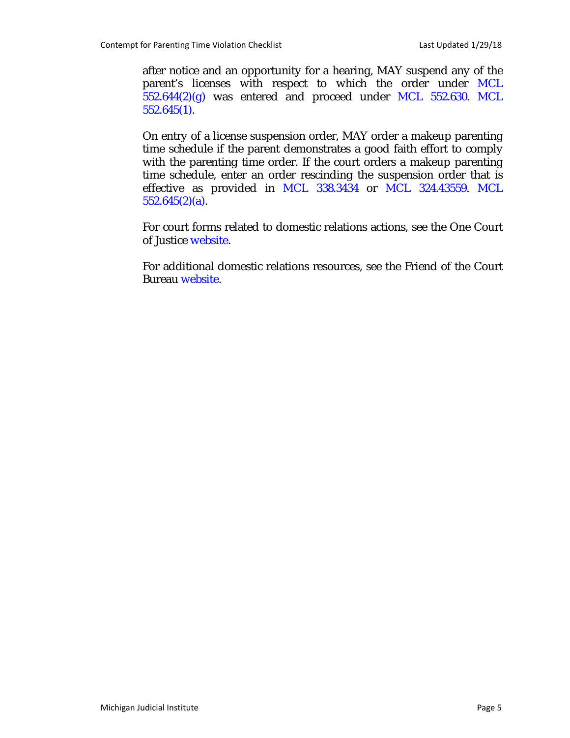after notice and an opportunity for a hearing, MAY suspend any of the parent's licenses with respect to which the order under MCL  $552.644(2)(g)$  was entered and proceed under MCL  $552.630$ . MCL 552.645(1).

On entry of a license suspension order, MAY order a makeup parenting time schedule if the parent demonstrates a good faith effort to comply with the parenting time order. If the court orders a makeup parenting time schedule, enter an order rescinding the suspension order that is effective as provided in MCL 338.3434 or MCL 324.43559. MCL  $552.645(2)(a)$ .

For court forms related to domestic relations actions, see the One Court of Justice website.

For additional domestic relations resources, see the Friend of the Court Bureau website.